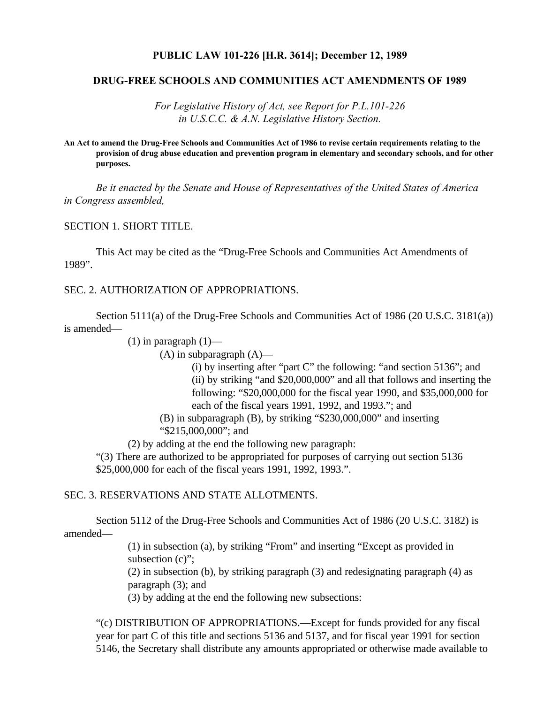#### **PUBLIC LAW 101-226 [H.R. 3614]; December 12, 1989**

#### **DRUG-FREE SCHOOLS AND COMMUNITIES ACT AMENDMENTS OF 1989**

*For Legislative History of Act, see Report for P.L.101-226 in U.S.C.C. & A.N. Legislative History Section.*

**An Act to amend the Drug-Free Schools and Communities Act of 1986 to revise certain requirements relating to the provision of drug abuse education and prevention program in elementary and secondary schools, and for other purposes.**

*Be it enacted by the Senate and House of Representatives of the United States of America in Congress assembled,*

#### SECTION 1. SHORT TITLE.

This Act may be cited as the "Drug-Free Schools and Communities Act Amendments of 1989".

## SEC. 2. AUTHORIZATION OF APPROPRIATIONS.

Section 5111(a) of the Drug-Free Schools and Communities Act of 1986 (20 U.S.C. 3181(a)) is amended—

 $(1)$  in paragraph  $(1)$ —

 $(A)$  in subparagraph  $(A)$ —

(i) by inserting after "part C" the following: "and section 5136"; and (ii) by striking "and \$20,000,000" and all that follows and inserting the following: "\$20,000,000 for the fiscal year 1990, and \$35,000,000 for each of the fiscal years 1991, 1992, and 1993."; and

(B) in subparagraph (B), by striking "\$230,000,000" and inserting "\$215,000,000"; and

(2) by adding at the end the following new paragraph:

"(3) There are authorized to be appropriated for purposes of carrying out section 5136 \$25,000,000 for each of the fiscal years 1991, 1992, 1993.".

#### SEC. 3. RESERVATIONS AND STATE ALLOTMENTS.

Section 5112 of the Drug-Free Schools and Communities Act of 1986 (20 U.S.C. 3182) is amended—

> (1) in subsection (a), by striking "From" and inserting "Except as provided in subsection (c)":

(2) in subsection (b), by striking paragraph (3) and redesignating paragraph (4) as paragraph (3); and

(3) by adding at the end the following new subsections:

"(c) DISTRIBUTION OF APPROPRIATIONS.—Except for funds provided for any fiscal year for part C of this title and sections 5136 and 5137, and for fiscal year 1991 for section 5146, the Secretary shall distribute any amounts appropriated or otherwise made available to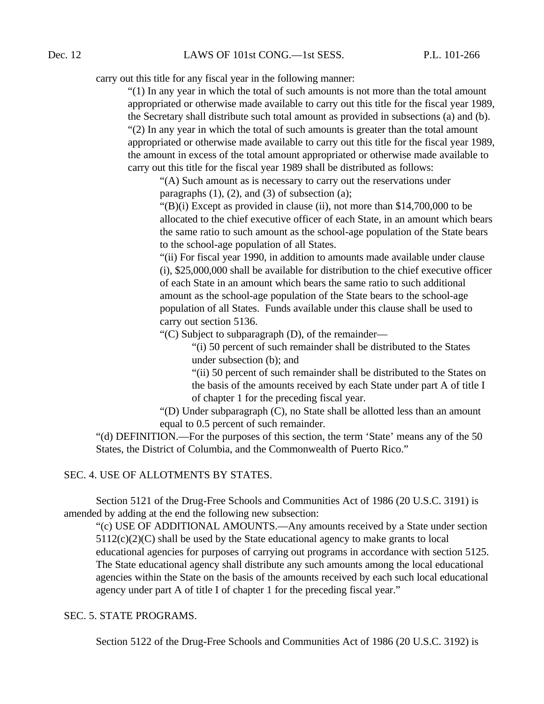carry out this title for any fiscal year in the following manner:

"(1) In any year in which the total of such amounts is not more than the total amount appropriated or otherwise made available to carry out this title for the fiscal year 1989, the Secretary shall distribute such total amount as provided in subsections (a) and (b). "(2) In any year in which the total of such amounts is greater than the total amount appropriated or otherwise made available to carry out this title for the fiscal year 1989, the amount in excess of the total amount appropriated or otherwise made available to carry out this title for the fiscal year 1989 shall be distributed as follows:

"(A) Such amount as is necessary to carry out the reservations under paragraphs  $(1)$ ,  $(2)$ , and  $(3)$  of subsection  $(a)$ ;

"(B)(i) Except as provided in clause (ii), not more than \$14,700,000 to be allocated to the chief executive officer of each State, in an amount which bears the same ratio to such amount as the school-age population of the State bears to the school-age population of all States.

"(ii) For fiscal year 1990, in addition to amounts made available under clause (i), \$25,000,000 shall be available for distribution to the chief executive officer of each State in an amount which bears the same ratio to such additional amount as the school-age population of the State bears to the school-age population of all States. Funds available under this clause shall be used to carry out section 5136.

"(C) Subject to subparagraph (D), of the remainder—

"(i) 50 percent of such remainder shall be distributed to the States under subsection (b); and

"(ii) 50 percent of such remainder shall be distributed to the States on the basis of the amounts received by each State under part A of title I of chapter 1 for the preceding fiscal year.

"(D) Under subparagraph (C), no State shall be allotted less than an amount equal to 0.5 percent of such remainder.

"(d) DEFINITION.—For the purposes of this section, the term 'State' means any of the 50 States, the District of Columbia, and the Commonwealth of Puerto Rico."

## SEC. 4. USE OF ALLOTMENTS BY STATES.

Section 5121 of the Drug-Free Schools and Communities Act of 1986 (20 U.S.C. 3191) is amended by adding at the end the following new subsection:

"(c) USE OF ADDITIONAL AMOUNTS.—Any amounts received by a State under section  $5112(c)(2)(C)$  shall be used by the State educational agency to make grants to local educational agencies for purposes of carrying out programs in accordance with section 5125. The State educational agency shall distribute any such amounts among the local educational agencies within the State on the basis of the amounts received by each such local educational agency under part A of title I of chapter 1 for the preceding fiscal year."

# SEC. 5. STATE PROGRAMS.

Section 5122 of the Drug-Free Schools and Communities Act of 1986 (20 U.S.C. 3192) is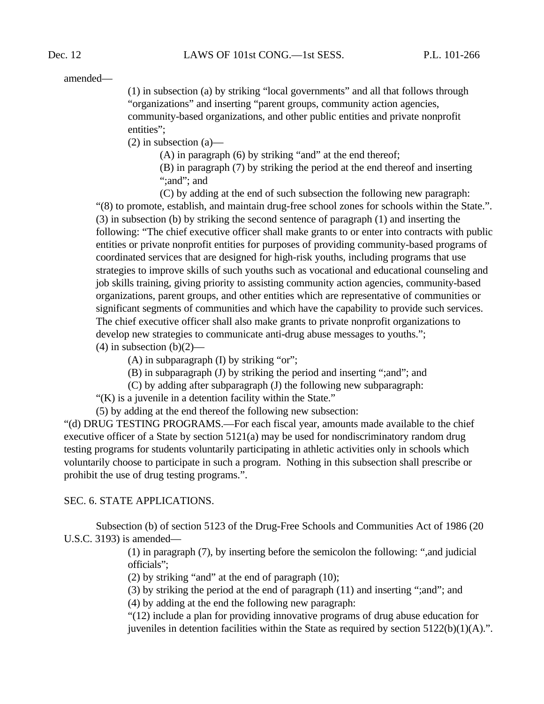amended—

(1) in subsection (a) by striking "local governments" and all that follows through "organizations" and inserting "parent groups, community action agencies, community-based organizations, and other public entities and private nonprofit entities":

 $(2)$  in subsection  $(a)$ —

(A) in paragraph (6) by striking "and" at the end thereof;

(B) in paragraph (7) by striking the period at the end thereof and inserting "; and"; and

(C) by adding at the end of such subsection the following new paragraph:

"(8) to promote, establish, and maintain drug-free school zones for schools within the State.". (3) in subsection (b) by striking the second sentence of paragraph (1) and inserting the following: "The chief executive officer shall make grants to or enter into contracts with public entities or private nonprofit entities for purposes of providing community-based programs of coordinated services that are designed for high-risk youths, including programs that use strategies to improve skills of such youths such as vocational and educational counseling and job skills training, giving priority to assisting community action agencies, community-based organizations, parent groups, and other entities which are representative of communities or significant segments of communities and which have the capability to provide such services. The chief executive officer shall also make grants to private nonprofit organizations to develop new strategies to communicate anti-drug abuse messages to youths.";  $(4)$  in subsection  $(b)(2)$ —

(A) in subparagraph (I) by striking "or";

(B) in subparagraph (J) by striking the period and inserting ";and"; and

(C) by adding after subparagraph (J) the following new subparagraph:

"(K) is a juvenile in a detention facility within the State."

(5) by adding at the end thereof the following new subsection:

"(d) DRUG TESTING PROGRAMS.—For each fiscal year, amounts made available to the chief executive officer of a State by section 5121(a) may be used for nondiscriminatory random drug testing programs for students voluntarily participating in athletic activities only in schools which voluntarily choose to participate in such a program. Nothing in this subsection shall prescribe or prohibit the use of drug testing programs.".

## SEC. 6. STATE APPLICATIONS.

Subsection (b) of section 5123 of the Drug-Free Schools and Communities Act of 1986 (20 U.S.C. 3193) is amended—

> (1) in paragraph (7), by inserting before the semicolon the following: ",and judicial officials";

(2) by striking "and" at the end of paragraph (10);

(3) by striking the period at the end of paragraph (11) and inserting ";and"; and

(4) by adding at the end the following new paragraph:

"(12) include a plan for providing innovative programs of drug abuse education for juveniles in detention facilities within the State as required by section 5122(b)(1)(A).".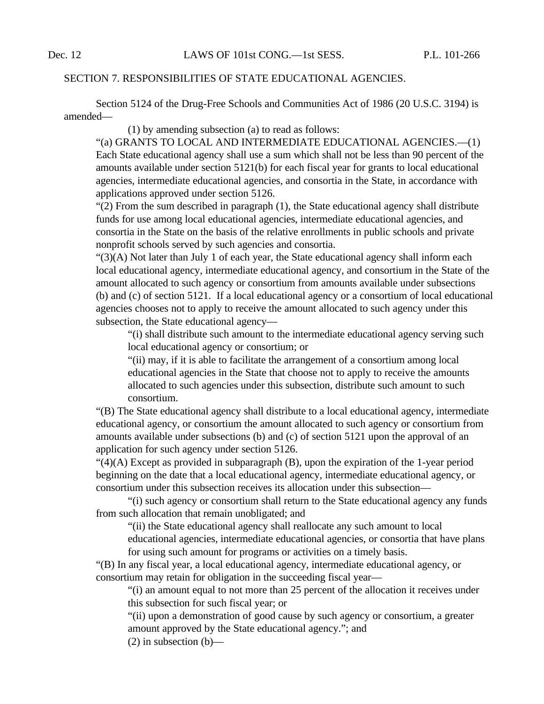## SECTION 7. RESPONSIBILITIES OF STATE EDUCATIONAL AGENCIES.

Section 5124 of the Drug-Free Schools and Communities Act of 1986 (20 U.S.C. 3194) is amended—

(1) by amending subsection (a) to read as follows:

"(a) GRANTS TO LOCAL AND INTERMEDIATE EDUCATIONAL AGENCIES.—(1) Each State educational agency shall use a sum which shall not be less than 90 percent of the amounts available under section 5121(b) for each fiscal year for grants to local educational agencies, intermediate educational agencies, and consortia in the State, in accordance with applications approved under section 5126.

"(2) From the sum described in paragraph (1), the State educational agency shall distribute funds for use among local educational agencies, intermediate educational agencies, and consortia in the State on the basis of the relative enrollments in public schools and private nonprofit schools served by such agencies and consortia.

"(3)(A) Not later than July 1 of each year, the State educational agency shall inform each local educational agency, intermediate educational agency, and consortium in the State of the amount allocated to such agency or consortium from amounts available under subsections (b) and (c) of section 5121. If a local educational agency or a consortium of local educational agencies chooses not to apply to receive the amount allocated to such agency under this subsection, the State educational agency—

"(i) shall distribute such amount to the intermediate educational agency serving such local educational agency or consortium; or

"(ii) may, if it is able to facilitate the arrangement of a consortium among local educational agencies in the State that choose not to apply to receive the amounts allocated to such agencies under this subsection, distribute such amount to such consortium.

"(B) The State educational agency shall distribute to a local educational agency, intermediate educational agency, or consortium the amount allocated to such agency or consortium from amounts available under subsections (b) and (c) of section 5121 upon the approval of an application for such agency under section 5126.

"(4)(A) Except as provided in subparagraph (B), upon the expiration of the 1-year period beginning on the date that a local educational agency, intermediate educational agency, or consortium under this subsection receives its allocation under this subsection—

"(i) such agency or consortium shall return to the State educational agency any funds from such allocation that remain unobligated; and

"(ii) the State educational agency shall reallocate any such amount to local

educational agencies, intermediate educational agencies, or consortia that have plans for using such amount for programs or activities on a timely basis.

"(B) In any fiscal year, a local educational agency, intermediate educational agency, or consortium may retain for obligation in the succeeding fiscal year—

"(i) an amount equal to not more than 25 percent of the allocation it receives under this subsection for such fiscal year; or

"(ii) upon a demonstration of good cause by such agency or consortium, a greater amount approved by the State educational agency."; and

 $(2)$  in subsection  $(b)$ —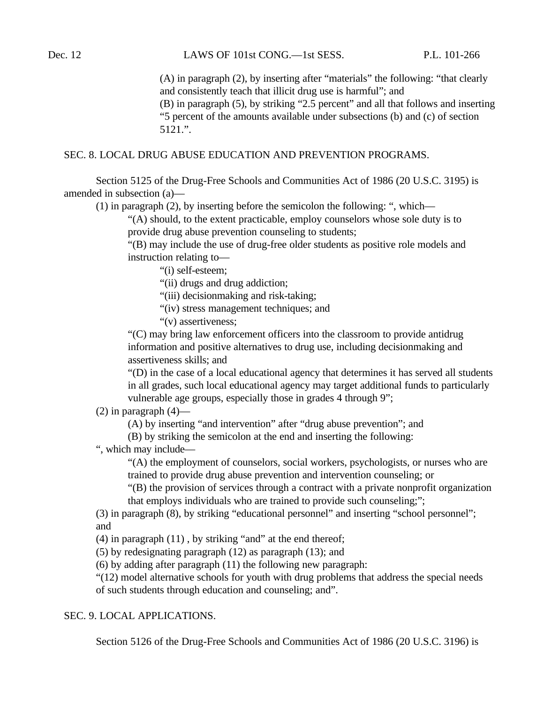(A) in paragraph (2), by inserting after "materials" the following: "that clearly and consistently teach that illicit drug use is harmful"; and

(B) in paragraph (5), by striking "2.5 percent" and all that follows and inserting "5 percent of the amounts available under subsections (b) and (c) of section 5121.".

#### SEC. 8. LOCAL DRUG ABUSE EDUCATION AND PREVENTION PROGRAMS.

Section 5125 of the Drug-Free Schools and Communities Act of 1986 (20 U.S.C. 3195) is amended in subsection (a)—

(1) in paragraph (2), by inserting before the semicolon the following: ", which—

"(A) should, to the extent practicable, employ counselors whose sole duty is to provide drug abuse prevention counseling to students;

"(B) may include the use of drug-free older students as positive role models and instruction relating to—

"(i) self-esteem;

"(ii) drugs and drug addiction;

"(iii) decisionmaking and risk-taking;

"(iv) stress management techniques; and

"(v) assertiveness;

"(C) may bring law enforcement officers into the classroom to provide antidrug information and positive alternatives to drug use, including decisionmaking and assertiveness skills; and

"(D) in the case of a local educational agency that determines it has served all students in all grades, such local educational agency may target additional funds to particularly vulnerable age groups, especially those in grades 4 through 9";

 $(2)$  in paragraph  $(4)$ —

(A) by inserting "and intervention" after "drug abuse prevention"; and

(B) by striking the semicolon at the end and inserting the following:

", which may include—

"(A) the employment of counselors, social workers, psychologists, or nurses who are trained to provide drug abuse prevention and intervention counseling; or

"(B) the provision of services through a contract with a private nonprofit organization that employs individuals who are trained to provide such counseling;";

(3) in paragraph (8), by striking "educational personnel" and inserting "school personnel"; and

(4) in paragraph (11) , by striking "and" at the end thereof;

(5) by redesignating paragraph (12) as paragraph (13); and

(6) by adding after paragraph (11) the following new paragraph:

"(12) model alternative schools for youth with drug problems that address the special needs of such students through education and counseling; and".

## SEC. 9. LOCAL APPLICATIONS.

Section 5126 of the Drug-Free Schools and Communities Act of 1986 (20 U.S.C. 3196) is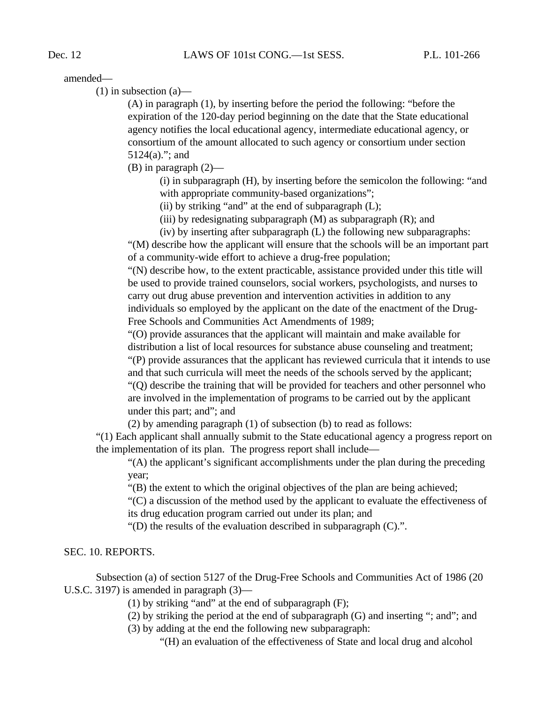amended—

 $(1)$  in subsection  $(a)$ —

(A) in paragraph (1), by inserting before the period the following: "before the expiration of the 120-day period beginning on the date that the State educational agency notifies the local educational agency, intermediate educational agency, or consortium of the amount allocated to such agency or consortium under section 5124(a)."; and

(B) in paragraph (2)—

(i) in subparagraph (H), by inserting before the semicolon the following: "and with appropriate community-based organizations";

(ii) by striking "and" at the end of subparagraph  $(L)$ ;

(iii) by redesignating subparagraph  $(M)$  as subparagraph  $(R)$ ; and

(iv) by inserting after subparagraph (L) the following new subparagraphs:

"(M) describe how the applicant will ensure that the schools will be an important part of a community-wide effort to achieve a drug-free population;

"(N) describe how, to the extent practicable, assistance provided under this title will be used to provide trained counselors, social workers, psychologists, and nurses to carry out drug abuse prevention and intervention activities in addition to any individuals so employed by the applicant on the date of the enactment of the Drug-Free Schools and Communities Act Amendments of 1989;

"(O) provide assurances that the applicant will maintain and make available for distribution a list of local resources for substance abuse counseling and treatment;

"(P) provide assurances that the applicant has reviewed curricula that it intends to use and that such curricula will meet the needs of the schools served by the applicant;

"(Q) describe the training that will be provided for teachers and other personnel who are involved in the implementation of programs to be carried out by the applicant under this part; and"; and

(2) by amending paragraph (1) of subsection (b) to read as follows:

"(1) Each applicant shall annually submit to the State educational agency a progress report on the implementation of its plan. The progress report shall include—

"(A) the applicant's significant accomplishments under the plan during the preceding year;

"(B) the extent to which the original objectives of the plan are being achieved;

"(C) a discussion of the method used by the applicant to evaluate the effectiveness of its drug education program carried out under its plan; and

"(D) the results of the evaluation described in subparagraph (C).".

## SEC. 10. REPORTS.

Subsection (a) of section 5127 of the Drug-Free Schools and Communities Act of 1986 (20 U.S.C. 3197) is amended in paragraph (3)—

(1) by striking "and" at the end of subparagraph (F);

(2) by striking the period at the end of subparagraph (G) and inserting "; and"; and

(3) by adding at the end the following new subparagraph:

"(H) an evaluation of the effectiveness of State and local drug and alcohol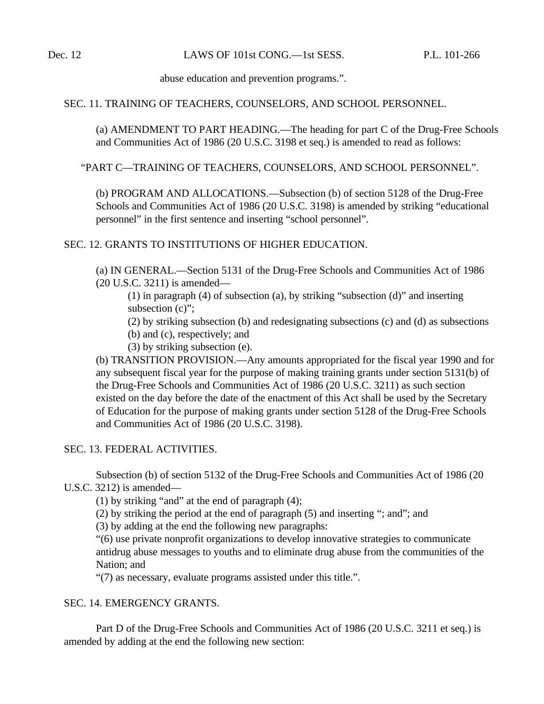abuse education and prevention programs.".

## SEC. 11. TRAINING OF TEACHERS, COUNSELORS, AND SCHOOL PERSONNEL.

(a) AMENDMENT TO PART HEADING.—The heading for part C of the Drug-Free Schools and Communities Act of 1986 (20 U.S.C. 3198 et seq.) is amended to read as follows:

"PART C—TRAINING OF TEACHERS, COUNSELORS, AND SCHOOL PERSONNEL".

(b) PROGRAM AND ALLOCATIONS.—Subsection (b) of section 5128 of the Drug-Free Schools and Communities Act of 1986 (20 U.S.C. 3198) is amended by striking "educational personnel" in the first sentence and inserting "school personnel".

SEC. 12. GRANTS TO INSTITUTIONS OF HIGHER EDUCATION.

(a) IN GENERAL.—Section 5131 of the Drug-Free Schools and Communities Act of 1986 (20 U.S.C. 3211) is amended—

(1) in paragraph (4) of subsection (a), by striking "subsection (d)" and inserting subsection (c)";

(2) by striking subsection (b) and redesignating subsections (c) and (d) as subsections

- (b) and (c), respectively; and
- (3) by striking subsection (e).

(b) TRANSITION PROVISION.—Any amounts appropriated for the fiscal year 1990 and for any subsequent fiscal year for the purpose of making training grants under section 5131(b) of the Drug-Free Schools and Communities Act of 1986 (20 U.S.C. 3211) as such section existed on the day before the date of the enactment of this Act shall be used by the Secretary of Education for the purpose of making grants under section 5128 of the Drug-Free Schools and Communities Act of 1986 (20 U.S.C. 3198).

# SEC. 13. FEDERAL ACTIVITIES.

Subsection (b) of section 5132 of the Drug-Free Schools and Communities Act of 1986 (20 U.S.C. 3212) is amended—

(1) by striking "and" at the end of paragraph (4);

(2) by striking the period at the end of paragraph (5) and inserting "; and"; and

(3) by adding at the end the following new paragraphs:

"(6) use private nonprofit organizations to develop innovative strategies to communicate antidrug abuse messages to youths and to eliminate drug abuse from the communities of the Nation; and

"(7) as necessary, evaluate programs assisted under this title.".

# SEC. 14. EMERGENCY GRANTS.

Part D of the Drug-Free Schools and Communities Act of 1986 (20 U.S.C. 3211 et seq.) is amended by adding at the end the following new section: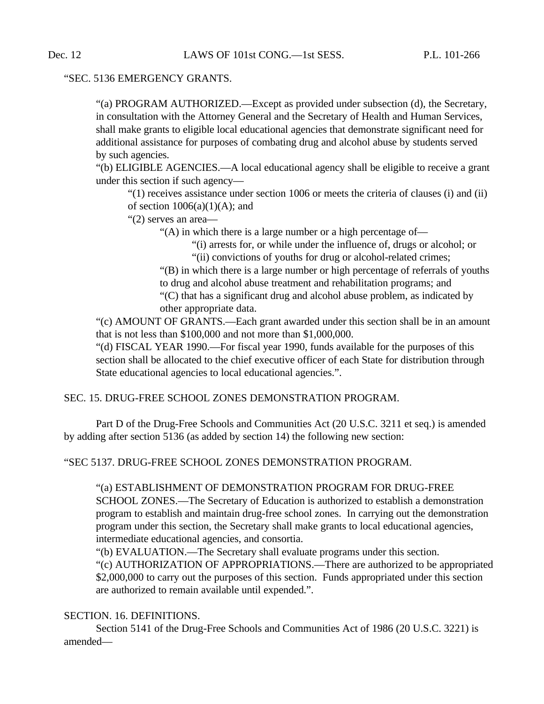# "SEC. 5136 EMERGENCY GRANTS.

"(a) PROGRAM AUTHORIZED.—Except as provided under subsection (d), the Secretary, in consultation with the Attorney General and the Secretary of Health and Human Services, shall make grants to eligible local educational agencies that demonstrate significant need for additional assistance for purposes of combating drug and alcohol abuse by students served by such agencies.

"(b) ELIGIBLE AGENCIES.—A local educational agency shall be eligible to receive a grant under this section if such agency—

"(1) receives assistance under section 1006 or meets the criteria of clauses (i) and (ii) of section  $1006(a)(1)(A)$ ; and

"(2) serves an area—

"(A) in which there is a large number or a high percentage of—

"(i) arrests for, or while under the influence of, drugs or alcohol; or

"(ii) convictions of youths for drug or alcohol-related crimes;

"(B) in which there is a large number or high percentage of referrals of youths to drug and alcohol abuse treatment and rehabilitation programs; and "(C) that has a significant drug and alcohol abuse problem, as indicated by other appropriate data.

"(c) AMOUNT OF GRANTS.—Each grant awarded under this section shall be in an amount that is not less than \$100,000 and not more than \$1,000,000.

"(d) FISCAL YEAR 1990.—For fiscal year 1990, funds available for the purposes of this section shall be allocated to the chief executive officer of each State for distribution through State educational agencies to local educational agencies.".

# SEC. 15. DRUG-FREE SCHOOL ZONES DEMONSTRATION PROGRAM.

Part D of the Drug-Free Schools and Communities Act (20 U.S.C. 3211 et seq.) is amended by adding after section 5136 (as added by section 14) the following new section:

"SEC 5137. DRUG-FREE SCHOOL ZONES DEMONSTRATION PROGRAM.

## "(a) ESTABLISHMENT OF DEMONSTRATION PROGRAM FOR DRUG-FREE

SCHOOL ZONES.—The Secretary of Education is authorized to establish a demonstration program to establish and maintain drug-free school zones. In carrying out the demonstration program under this section, the Secretary shall make grants to local educational agencies, intermediate educational agencies, and consortia.

"(b) EVALUATION.—The Secretary shall evaluate programs under this section.

"(c) AUTHORIZATION OF APPROPRIATIONS.—There are authorized to be appropriated \$2,000,000 to carry out the purposes of this section. Funds appropriated under this section are authorized to remain available until expended.".

## SECTION. 16. DEFINITIONS.

Section 5141 of the Drug-Free Schools and Communities Act of 1986 (20 U.S.C. 3221) is amended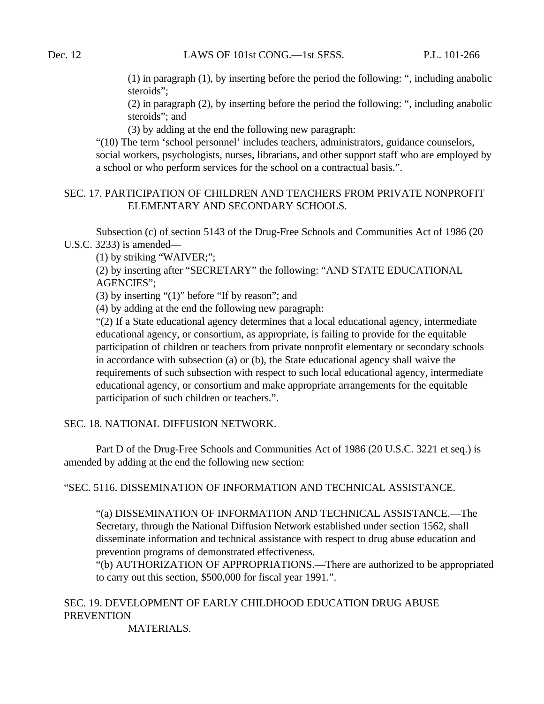(1) in paragraph (1), by inserting before the period the following: ", including anabolic steroids":

(2) in paragraph (2), by inserting before the period the following: ", including anabolic steroids"; and

(3) by adding at the end the following new paragraph:

"(10) The term 'school personnel' includes teachers, administrators, guidance counselors, social workers, psychologists, nurses, librarians, and other support staff who are employed by a school or who perform services for the school on a contractual basis.".

# SEC. 17. PARTICIPATION OF CHILDREN AND TEACHERS FROM PRIVATE NONPROFIT ELEMENTARY AND SECONDARY SCHOOLS.

Subsection (c) of section 5143 of the Drug-Free Schools and Communities Act of 1986 (20 U.S.C. 3233) is amended—

(1) by striking "WAIVER;";

(2) by inserting after "SECRETARY" the following: "AND STATE EDUCATIONAL AGENCIES";

(3) by inserting "(1)" before "If by reason"; and

(4) by adding at the end the following new paragraph:

"(2) If a State educational agency determines that a local educational agency, intermediate educational agency, or consortium, as appropriate, is failing to provide for the equitable participation of children or teachers from private nonprofit elementary or secondary schools in accordance with subsection (a) or (b), the State educational agency shall waive the requirements of such subsection with respect to such local educational agency, intermediate educational agency, or consortium and make appropriate arrangements for the equitable participation of such children or teachers.".

SEC. 18. NATIONAL DIFFUSION NETWORK.

Part D of the Drug-Free Schools and Communities Act of 1986 (20 U.S.C. 3221 et seq.) is amended by adding at the end the following new section:

"SEC. 5116. DISSEMINATION OF INFORMATION AND TECHNICAL ASSISTANCE.

"(a) DISSEMINATION OF INFORMATION AND TECHNICAL ASSISTANCE.—The Secretary, through the National Diffusion Network established under section 1562, shall disseminate information and technical assistance with respect to drug abuse education and prevention programs of demonstrated effectiveness.

"(b) AUTHORIZATION OF APPROPRIATIONS.—There are authorized to be appropriated to carry out this section, \$500,000 for fiscal year 1991.".

# SEC. 19. DEVELOPMENT OF EARLY CHILDHOOD EDUCATION DRUG ABUSE **PREVENTION**

MATERIALS.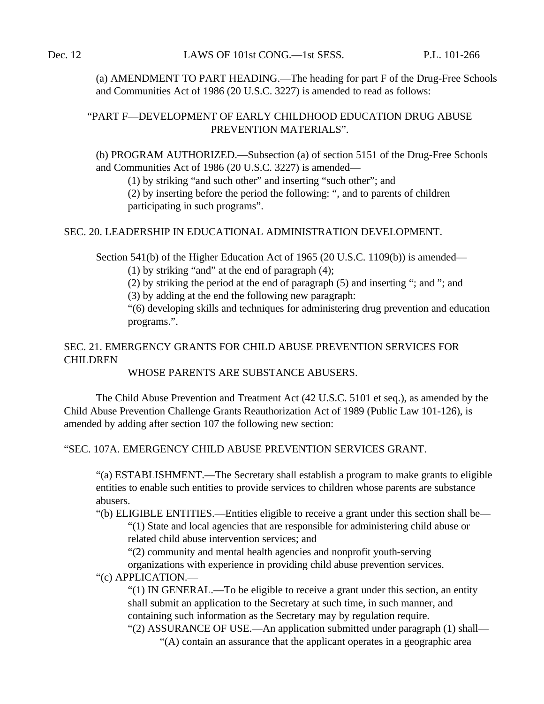(a) AMENDMENT TO PART HEADING.—The heading for part F of the Drug-Free Schools and Communities Act of 1986 (20 U.S.C. 3227) is amended to read as follows:

# "PART F—DEVELOPMENT OF EARLY CHILDHOOD EDUCATION DRUG ABUSE PREVENTION MATERIALS".

(b) PROGRAM AUTHORIZED.—Subsection (a) of section 5151 of the Drug-Free Schools and Communities Act of 1986 (20 U.S.C. 3227) is amended—

(1) by striking "and such other" and inserting "such other"; and

(2) by inserting before the period the following: ", and to parents of children participating in such programs".

# SEC. 20. LEADERSHIP IN EDUCATIONAL ADMINISTRATION DEVELOPMENT.

Section 541(b) of the Higher Education Act of 1965 (20 U.S.C. 1109(b)) is amended—

(1) by striking "and" at the end of paragraph (4);

(2) by striking the period at the end of paragraph (5) and inserting "; and "; and

(3) by adding at the end the following new paragraph:

"(6) developing skills and techniques for administering drug prevention and education programs.".

# SEC. 21. EMERGENCY GRANTS FOR CHILD ABUSE PREVENTION SERVICES FOR CHILDREN

# WHOSE PARENTS ARE SUBSTANCE ABUSERS.

The Child Abuse Prevention and Treatment Act (42 U.S.C. 5101 et seq.), as amended by the Child Abuse Prevention Challenge Grants Reauthorization Act of 1989 (Public Law 101-126), is amended by adding after section 107 the following new section:

# "SEC. 107A. EMERGENCY CHILD ABUSE PREVENTION SERVICES GRANT.

"(a) ESTABLISHMENT.—The Secretary shall establish a program to make grants to eligible entities to enable such entities to provide services to children whose parents are substance abusers.

"(b) ELIGIBLE ENTITIES.—Entities eligible to receive a grant under this section shall be— "(1) State and local agencies that are responsible for administering child abuse or related child abuse intervention services; and

"(2) community and mental health agencies and nonprofit youth-serving organizations with experience in providing child abuse prevention services.

"(c) APPLICATION.—

"(1) IN GENERAL.—To be eligible to receive a grant under this section, an entity shall submit an application to the Secretary at such time, in such manner, and containing such information as the Secretary may by regulation require.

"(2) ASSURANCE OF USE.—An application submitted under paragraph (1) shall— "(A) contain an assurance that the applicant operates in a geographic area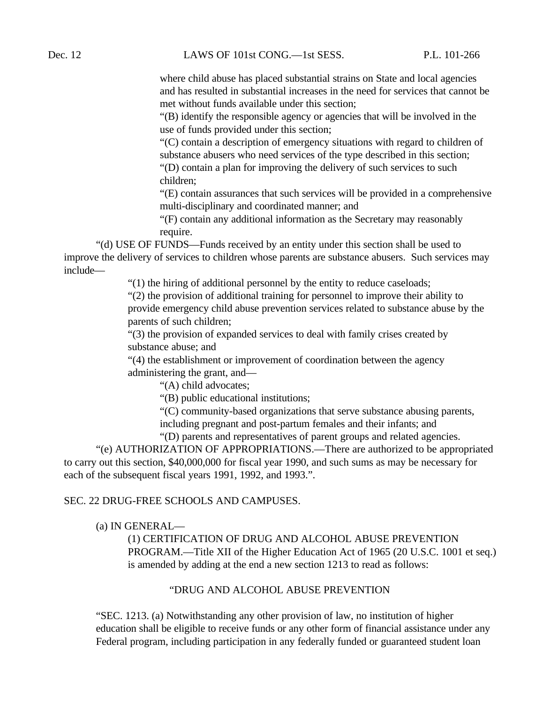where child abuse has placed substantial strains on State and local agencies and has resulted in substantial increases in the need for services that cannot be met without funds available under this section;

"(B) identify the responsible agency or agencies that will be involved in the use of funds provided under this section;

"(C) contain a description of emergency situations with regard to children of substance abusers who need services of the type described in this section; "(D) contain a plan for improving the delivery of such services to such

children;

"(E) contain assurances that such services will be provided in a comprehensive multi-disciplinary and coordinated manner; and

"(F) contain any additional information as the Secretary may reasonably require.

"(d) USE OF FUNDS—Funds received by an entity under this section shall be used to improve the delivery of services to children whose parents are substance abusers. Such services may include—

"(1) the hiring of additional personnel by the entity to reduce caseloads;

"(2) the provision of additional training for personnel to improve their ability to provide emergency child abuse prevention services related to substance abuse by the parents of such children;

"(3) the provision of expanded services to deal with family crises created by substance abuse; and

"(4) the establishment or improvement of coordination between the agency administering the grant, and—

"(A) child advocates;

"(B) public educational institutions;

"(C) community-based organizations that serve substance abusing parents, including pregnant and post-partum females and their infants; and

"(D) parents and representatives of parent groups and related agencies.

"(e) AUTHORIZATION OF APPROPRIATIONS.—There are authorized to be appropriated to carry out this section, \$40,000,000 for fiscal year 1990, and such sums as may be necessary for each of the subsequent fiscal years 1991, 1992, and 1993.".

## SEC. 22 DRUG-FREE SCHOOLS AND CAMPUSES.

(a) IN GENERAL—

(1) CERTIFICATION OF DRUG AND ALCOHOL ABUSE PREVENTION PROGRAM.—Title XII of the Higher Education Act of 1965 (20 U.S.C. 1001 et seq.) is amended by adding at the end a new section 1213 to read as follows:

#### "DRUG AND ALCOHOL ABUSE PREVENTION

"SEC. 1213. (a) Notwithstanding any other provision of law, no institution of higher education shall be eligible to receive funds or any other form of financial assistance under any Federal program, including participation in any federally funded or guaranteed student loan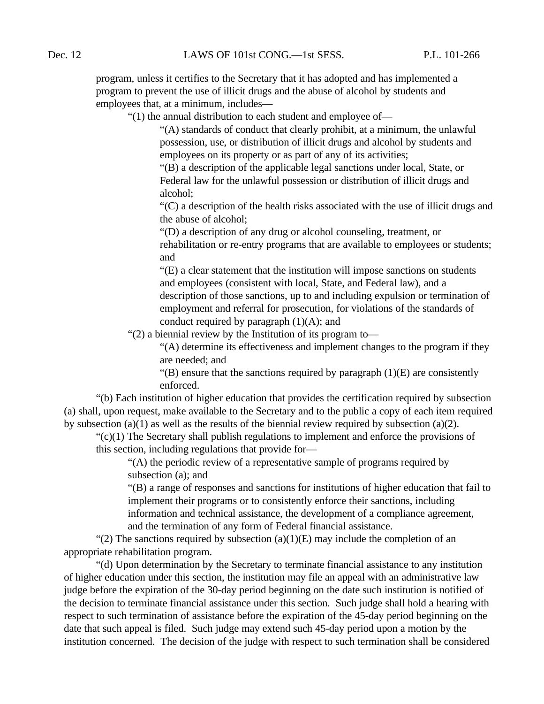program, unless it certifies to the Secretary that it has adopted and has implemented a program to prevent the use of illicit drugs and the abuse of alcohol by students and employees that, at a minimum, includes—

"(1) the annual distribution to each student and employee of—

"(A) standards of conduct that clearly prohibit, at a minimum, the unlawful possession, use, or distribution of illicit drugs and alcohol by students and employees on its property or as part of any of its activities;

"(B) a description of the applicable legal sanctions under local, State, or Federal law for the unlawful possession or distribution of illicit drugs and alcohol;

"(C) a description of the health risks associated with the use of illicit drugs and the abuse of alcohol;

"(D) a description of any drug or alcohol counseling, treatment, or rehabilitation or re-entry programs that are available to employees or students; and

"(E) a clear statement that the institution will impose sanctions on students and employees (consistent with local, State, and Federal law), and a description of those sanctions, up to and including expulsion or termination of employment and referral for prosecution, for violations of the standards of conduct required by paragraph  $(1)(A)$ ; and

"(2) a biennial review by the Institution of its program to—

"(A) determine its effectiveness and implement changes to the program if they are needed; and

 $\lq$ (B) ensure that the sanctions required by paragraph (1)(E) are consistently enforced.

"(b) Each institution of higher education that provides the certification required by subsection (a) shall, upon request, make available to the Secretary and to the public a copy of each item required by subsection (a)(1) as well as the results of the biennial review required by subsection (a)(2).

"(c)(1) The Secretary shall publish regulations to implement and enforce the provisions of this section, including regulations that provide for—

"(A) the periodic review of a representative sample of programs required by subsection (a); and

"(B) a range of responses and sanctions for institutions of higher education that fail to implement their programs or to consistently enforce their sanctions, including information and technical assistance, the development of a compliance agreement, and the termination of any form of Federal financial assistance.

"(2) The sanctions required by subsection  $(a)(1)(E)$  may include the completion of an appropriate rehabilitation program.

"(d) Upon determination by the Secretary to terminate financial assistance to any institution of higher education under this section, the institution may file an appeal with an administrative law judge before the expiration of the 30-day period beginning on the date such institution is notified of the decision to terminate financial assistance under this section. Such judge shall hold a hearing with respect to such termination of assistance before the expiration of the 45-day period beginning on the date that such appeal is filed. Such judge may extend such 45-day period upon a motion by the institution concerned. The decision of the judge with respect to such termination shall be considered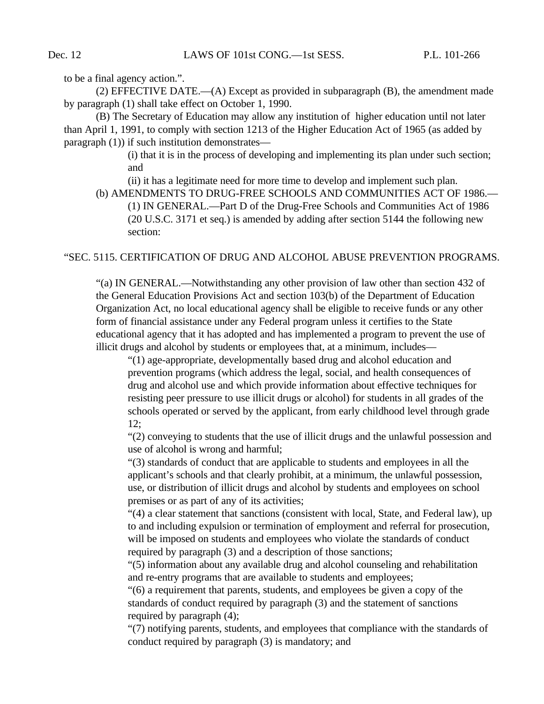to be a final agency action.".

(2) EFFECTIVE DATE.—(A) Except as provided in subparagraph (B), the amendment made by paragraph (1) shall take effect on October 1, 1990.

(B) The Secretary of Education may allow any institution of higher education until not later than April 1, 1991, to comply with section 1213 of the Higher Education Act of 1965 (as added by paragraph (1)) if such institution demonstrates—

> (i) that it is in the process of developing and implementing its plan under such section; and

(ii) it has a legitimate need for more time to develop and implement such plan.

(b) AMENDMENTS TO DRUG-FREE SCHOOLS AND COMMUNITIES ACT OF 1986.— (1) IN GENERAL.—Part D of the Drug-Free Schools and Communities Act of 1986 (20 U.S.C. 3171 et seq.) is amended by adding after section 5144 the following new section:

#### "SEC. 5115. CERTIFICATION OF DRUG AND ALCOHOL ABUSE PREVENTION PROGRAMS.

"(a) IN GENERAL.—Notwithstanding any other provision of law other than section 432 of the General Education Provisions Act and section 103(b) of the Department of Education Organization Act, no local educational agency shall be eligible to receive funds or any other form of financial assistance under any Federal program unless it certifies to the State educational agency that it has adopted and has implemented a program to prevent the use of illicit drugs and alcohol by students or employees that, at a minimum, includes—

"(1) age-appropriate, developmentally based drug and alcohol education and prevention programs (which address the legal, social, and health consequences of drug and alcohol use and which provide information about effective techniques for resisting peer pressure to use illicit drugs or alcohol) for students in all grades of the schools operated or served by the applicant, from early childhood level through grade 12;

"(2) conveying to students that the use of illicit drugs and the unlawful possession and use of alcohol is wrong and harmful;

"(3) standards of conduct that are applicable to students and employees in all the applicant's schools and that clearly prohibit, at a minimum, the unlawful possession, use, or distribution of illicit drugs and alcohol by students and employees on school premises or as part of any of its activities;

"(4) a clear statement that sanctions (consistent with local, State, and Federal law), up to and including expulsion or termination of employment and referral for prosecution, will be imposed on students and employees who violate the standards of conduct required by paragraph (3) and a description of those sanctions;

"(5) information about any available drug and alcohol counseling and rehabilitation and re-entry programs that are available to students and employees;

"(6) a requirement that parents, students, and employees be given a copy of the standards of conduct required by paragraph (3) and the statement of sanctions required by paragraph (4);

"(7) notifying parents, students, and employees that compliance with the standards of conduct required by paragraph (3) is mandatory; and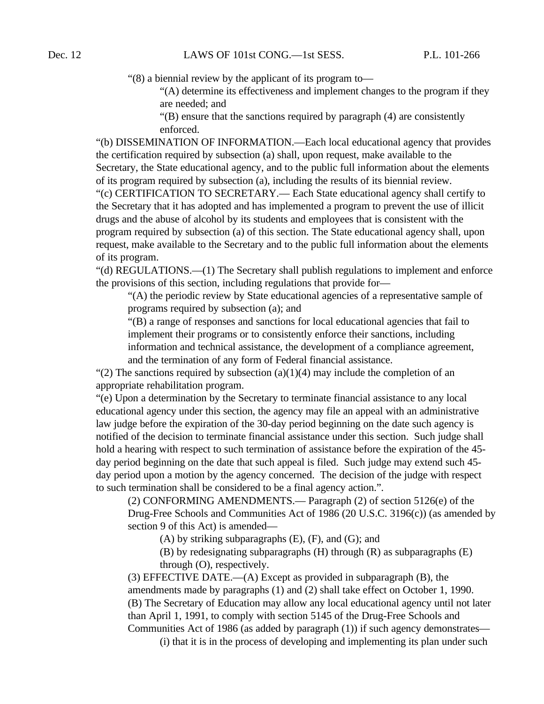"(8) a biennial review by the applicant of its program to—

"(A) determine its effectiveness and implement changes to the program if they are needed; and

"(B) ensure that the sanctions required by paragraph (4) are consistently enforced.

"(b) DISSEMINATION OF INFORMATION.—Each local educational agency that provides the certification required by subsection (a) shall, upon request, make available to the Secretary, the State educational agency, and to the public full information about the elements of its program required by subsection (a), including the results of its biennial review.

"(c) CERTIFICATION TO SECRETARY.— Each State educational agency shall certify to the Secretary that it has adopted and has implemented a program to prevent the use of illicit drugs and the abuse of alcohol by its students and employees that is consistent with the program required by subsection (a) of this section. The State educational agency shall, upon request, make available to the Secretary and to the public full information about the elements of its program.

"(d) REGULATIONS.—(1) The Secretary shall publish regulations to implement and enforce the provisions of this section, including regulations that provide for—

"(A) the periodic review by State educational agencies of a representative sample of programs required by subsection (a); and

"(B) a range of responses and sanctions for local educational agencies that fail to implement their programs or to consistently enforce their sanctions, including information and technical assistance, the development of a compliance agreement, and the termination of any form of Federal financial assistance.

"(2) The sanctions required by subsection (a)(1)(4) may include the completion of an appropriate rehabilitation program.

"(e) Upon a determination by the Secretary to terminate financial assistance to any local educational agency under this section, the agency may file an appeal with an administrative law judge before the expiration of the 30-day period beginning on the date such agency is notified of the decision to terminate financial assistance under this section. Such judge shall hold a hearing with respect to such termination of assistance before the expiration of the 45 day period beginning on the date that such appeal is filed. Such judge may extend such 45 day period upon a motion by the agency concerned. The decision of the judge with respect to such termination shall be considered to be a final agency action.".

(2) CONFORMING AMENDMENTS.— Paragraph (2) of section 5126(e) of the Drug-Free Schools and Communities Act of 1986 (20 U.S.C. 3196(c)) (as amended by section 9 of this Act) is amended—

(A) by striking subparagraphs (E), (F), and (G); and

(B) by redesignating subparagraphs (H) through (R) as subparagraphs (E) through (O), respectively.

(3) EFFECTIVE DATE.—(A) Except as provided in subparagraph (B), the amendments made by paragraphs (1) and (2) shall take effect on October 1, 1990. (B) The Secretary of Education may allow any local educational agency until not later than April 1, 1991, to comply with section 5145 of the Drug-Free Schools and Communities Act of 1986 (as added by paragraph (1)) if such agency demonstrates—

(i) that it is in the process of developing and implementing its plan under such